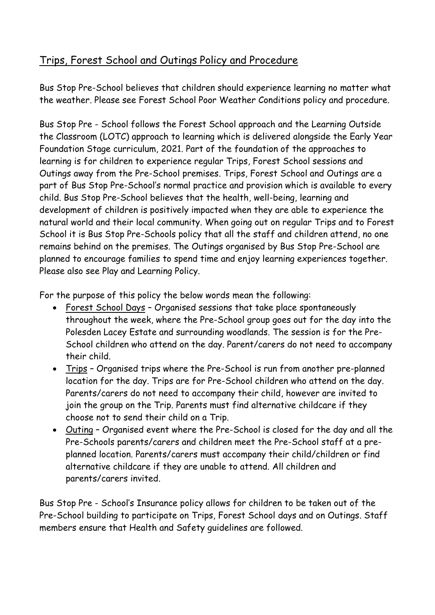# Trips, Forest School and Outings Policy and Procedure

Bus Stop Pre-School believes that children should experience learning no matter what the weather. Please see Forest School Poor Weather Conditions policy and procedure.

Bus Stop Pre - School follows the Forest School approach and the Learning Outside the Classroom (LOTC) approach to learning which is delivered alongside the Early Year Foundation Stage curriculum, 2021. Part of the foundation of the approaches to learning is for children to experience regular Trips, Forest School sessions and Outings away from the Pre-School premises. Trips, Forest School and Outings are a part of Bus Stop Pre-School's normal practice and provision which is available to every child. Bus Stop Pre-School believes that the health, well-being, learning and development of children is positively impacted when they are able to experience the natural world and their local community. When going out on regular Trips and to Forest School it is Bus Stop Pre-Schools policy that all the staff and children attend, no one remains behind on the premises. The Outings organised by Bus Stop Pre-School are planned to encourage families to spend time and enjoy learning experiences together. Please also see Play and Learning Policy.

For the purpose of this policy the below words mean the following:

- Forest School Days Organised sessions that take place spontaneously throughout the week, where the Pre-School group goes out for the day into the Polesden Lacey Estate and surrounding woodlands. The session is for the Pre-School children who attend on the day. Parent/carers do not need to accompany their child.
- Trips Organised trips where the Pre-School is run from another pre-planned location for the day. Trips are for Pre-School children who attend on the day. Parents/carers do not need to accompany their child, however are invited to join the group on the Trip. Parents must find alternative childcare if they choose not to send their child on a Trip.
- Outing Organised event where the Pre-School is closed for the day and all the Pre-Schools parents/carers and children meet the Pre-School staff at a preplanned location. Parents/carers must accompany their child/children or find alternative childcare if they are unable to attend. All children and parents/carers invited.

Bus Stop Pre - School's Insurance policy allows for children to be taken out of the Pre-School building to participate on Trips, Forest School days and on Outings. Staff members ensure that Health and Safety guidelines are followed.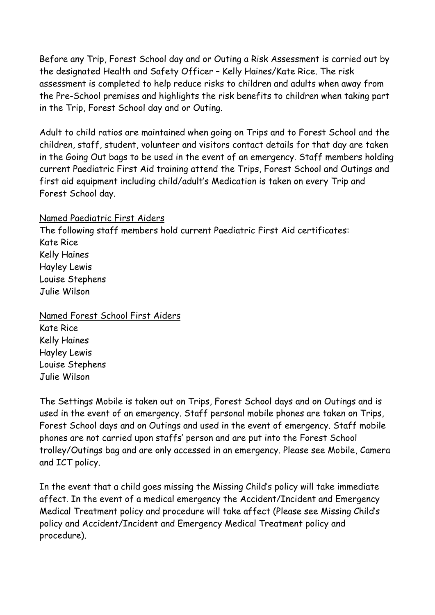Before any Trip, Forest School day and or Outing a Risk Assessment is carried out by the designated Health and Safety Officer – Kelly Haines/Kate Rice. The risk assessment is completed to help reduce risks to children and adults when away from the Pre-School premises and highlights the risk benefits to children when taking part in the Trip, Forest School day and or Outing.

Adult to child ratios are maintained when going on Trips and to Forest School and the children, staff, student, volunteer and visitors contact details for that day are taken in the Going Out bags to be used in the event of an emergency. Staff members holding current Paediatric First Aid training attend the Trips, Forest School and Outings and first aid equipment including child/adult's Medication is taken on every Trip and Forest School day.

#### Named Paediatric First Aiders

The following staff members hold current Paediatric First Aid certificates: Kate Rice Kelly Haines Hayley Lewis Louise Stephens Julie Wilson

Named Forest School First Aiders Kate Rice

Kelly Haines Hayley Lewis Louise Stephens Julie Wilson

The Settings Mobile is taken out on Trips, Forest School days and on Outings and is used in the event of an emergency. Staff personal mobile phones are taken on Trips, Forest School days and on Outings and used in the event of emergency. Staff mobile phones are not carried upon staffs' person and are put into the Forest School trolley/Outings bag and are only accessed in an emergency. Please see Mobile, Camera and ICT policy.

In the event that a child goes missing the Missing Child's policy will take immediate affect. In the event of a medical emergency the Accident/Incident and Emergency Medical Treatment policy and procedure will take affect (Please see Missing Child's policy and Accident/Incident and Emergency Medical Treatment policy and procedure).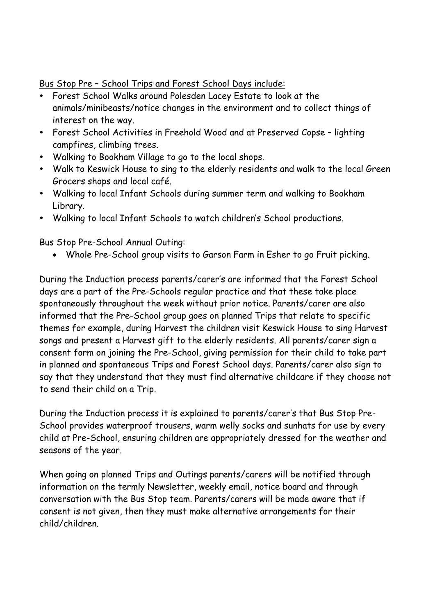## Bus Stop Pre – School Trips and Forest School Days include:

- Forest School Walks around Polesden Lacey Estate to look at the animals/minibeasts/notice changes in the environment and to collect things of interest on the way.
- Forest School Activities in Freehold Wood and at Preserved Copse lighting campfires, climbing trees.
- Walking to Bookham Village to go to the local shops.
- Walk to Keswick House to sing to the elderly residents and walk to the local Green Grocers shops and local café.
- Walking to local Infant Schools during summer term and walking to Bookham Library.
- Walking to local Infant Schools to watch children's School productions.

# Bus Stop Pre-School Annual Outing:

• Whole Pre-School group visits to Garson Farm in Esher to go Fruit picking.

During the Induction process parents/carer's are informed that the Forest School days are a part of the Pre-Schools regular practice and that these take place spontaneously throughout the week without prior notice. Parents/carer are also informed that the Pre-School group goes on planned Trips that relate to specific themes for example, during Harvest the children visit Keswick House to sing Harvest songs and present a Harvest gift to the elderly residents. All parents/carer sign a consent form on joining the Pre-School, giving permission for their child to take part in planned and spontaneous Trips and Forest School days. Parents/carer also sign to say that they understand that they must find alternative childcare if they choose not to send their child on a Trip.

During the Induction process it is explained to parents/carer's that Bus Stop Pre-School provides waterproof trousers, warm welly socks and sunhats for use by every child at Pre-School, ensuring children are appropriately dressed for the weather and seasons of the year.

When going on planned Trips and Outings parents/carers will be notified through information on the termly Newsletter, weekly email, notice board and through conversation with the Bus Stop team. Parents/carers will be made aware that if consent is not given, then they must make alternative arrangements for their child/children.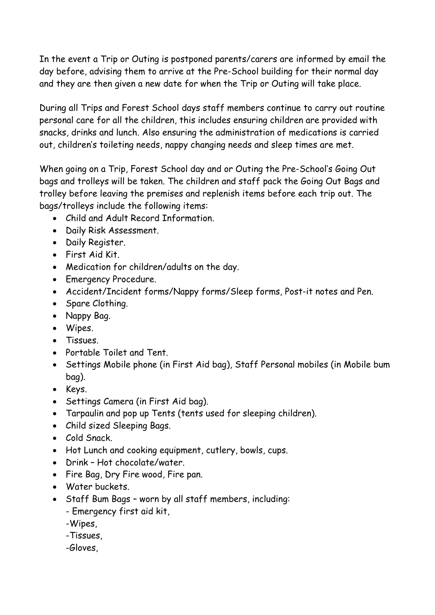In the event a Trip or Outing is postponed parents/carers are informed by email the day before, advising them to arrive at the Pre-School building for their normal day and they are then given a new date for when the Trip or Outing will take place.

During all Trips and Forest School days staff members continue to carry out routine personal care for all the children, this includes ensuring children are provided with snacks, drinks and lunch. Also ensuring the administration of medications is carried out, children's toileting needs, nappy changing needs and sleep times are met.

When going on a Trip, Forest School day and or Outing the Pre-School's Going Out bags and trolleys will be taken. The children and staff pack the Going Out Bags and trolley before leaving the premises and replenish items before each trip out. The bags/trolleys include the following items:

- Child and Adult Record Information.
- Daily Risk Assessment.
- Daily Register.
- First Aid Kit.
- Medication for children/adults on the day.
- Emergency Procedure.
- Accident/Incident forms/Nappy forms/Sleep forms, Post-it notes and Pen.
- Spare Clothing.
- Nappy Bag.
- Wipes.
- Tissues.
- Portable Toilet and Tent.
- Settings Mobile phone (in First Aid bag), Staff Personal mobiles (in Mobile bum bag).
- Keys.
- Settings Camera (in First Aid bag).
- Tarpaulin and pop up Tents (tents used for sleeping children).
- Child sized Sleeping Bags.
- Cold Snack.
- Hot Lunch and cooking equipment, cutlery, bowls, cups.
- Drink Hot chocolate/water.
- Fire Bag, Dry Fire wood, Fire pan.
- Water buckets.
- Staff Bum Bags worn by all staff members, including: - Emergency first aid kit,
	- -Wipes,
	- -Tissues,
	- -Gloves,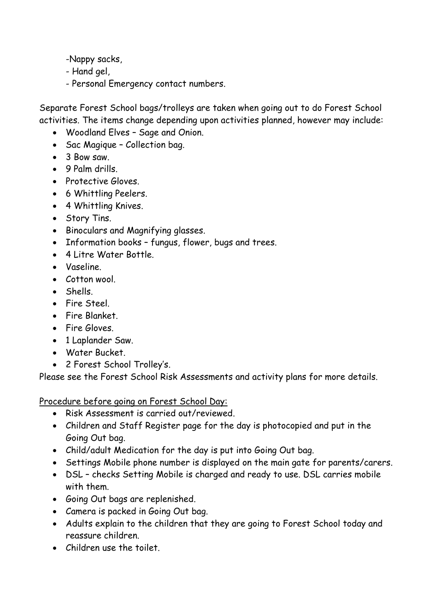-Nappy sacks,

- Hand gel,

- Personal Emergency contact numbers.

Separate Forest School bags/trolleys are taken when going out to do Forest School activities. The items change depending upon activities planned, however may include:

- Woodland Elves Sage and Onion.
- Sac Magique Collection bag.
- 3 Bow saw.
- 9 Palm drills.
- Protective Gloves.
- 6 Whittling Peelers.
- 4 Whittling Knives.
- Story Tins.
- Binoculars and Magnifying glasses.
- Information books fungus, flower, bugs and trees.
- 4 Litre Water Bottle.
- Vaseline.
- Cotton wool.
- Shells.
- Fire Steel.
- Fire Blanket.
- Fire Gloves.
- 1 Laplander Saw.
- Water Bucket.
- 2 Forest School Trolley's.

Please see the Forest School Risk Assessments and activity plans for more details.

Procedure before going on Forest School Day:

- Risk Assessment is carried out/reviewed.
- Children and Staff Register page for the day is photocopied and put in the Going Out bag.
- Child/adult Medication for the day is put into Going Out bag.
- Settings Mobile phone number is displayed on the main gate for parents/carers.
- DSL checks Setting Mobile is charged and ready to use. DSL carries mobile with them.
- Going Out bags are replenished.
- Camera is packed in Going Out bag.
- Adults explain to the children that they are going to Forest School today and reassure children.
- Children use the toilet.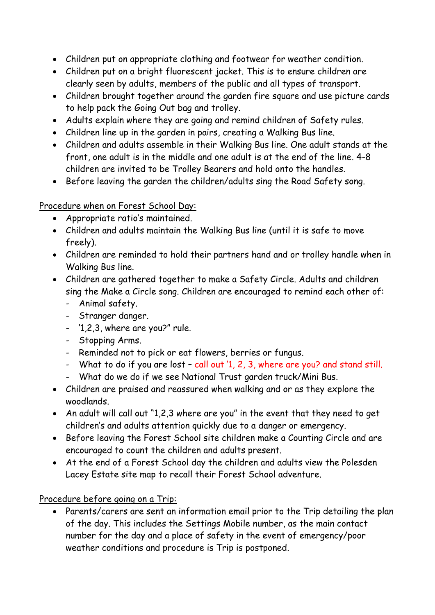- Children put on appropriate clothing and footwear for weather condition.
- Children put on a bright fluorescent jacket. This is to ensure children are clearly seen by adults, members of the public and all types of transport.
- Children brought together around the garden fire square and use picture cards to help pack the Going Out bag and trolley.
- Adults explain where they are going and remind children of Safety rules.
- Children line up in the garden in pairs, creating a Walking Bus line.
- Children and adults assemble in their Walking Bus line. One adult stands at the front, one adult is in the middle and one adult is at the end of the line. 4-8 children are invited to be Trolley Bearers and hold onto the handles.
- Before leaving the garden the children/adults sing the Road Safety song.

Procedure when on Forest School Day:

- Appropriate ratio's maintained.
- Children and adults maintain the Walking Bus line (until it is safe to move freely).
- Children are reminded to hold their partners hand and or trolley handle when in Walking Bus line.
- Children are gathered together to make a Safety Circle. Adults and children sing the Make a Circle song. Children are encouraged to remind each other of:
	- Animal safety.
	- Stranger danger.
	- '1,2,3, where are you?" rule.
	- Stopping Arms.
	- Reminded not to pick or eat flowers, berries or fungus.
	- What to do if you are lost call out '1, 2, 3, where are you? and stand still.
	- What do we do if we see National Trust garden truck/Mini Bus.
- Children are praised and reassured when walking and or as they explore the woodlands.
- An adult will call out "1,2,3 where are you" in the event that they need to get children's and adults attention quickly due to a danger or emergency.
- Before leaving the Forest School site children make a Counting Circle and are encouraged to count the children and adults present.
- At the end of a Forest School day the children and adults view the Polesden Lacey Estate site map to recall their Forest School adventure.

Procedure before going on a Trip:

• Parents/carers are sent an information email prior to the Trip detailing the plan of the day. This includes the Settings Mobile number, as the main contact number for the day and a place of safety in the event of emergency/poor weather conditions and procedure is Trip is postponed.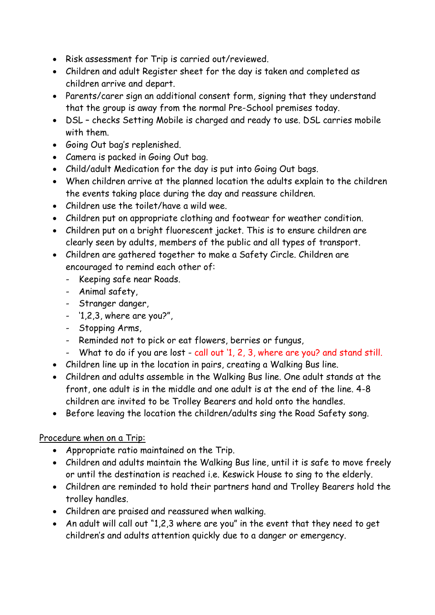- Risk assessment for Trip is carried out/reviewed.
- Children and adult Register sheet for the day is taken and completed as children arrive and depart.
- Parents/carer sign an additional consent form, signing that they understand that the group is away from the normal Pre-School premises today.
- DSL checks Setting Mobile is charged and ready to use. DSL carries mobile with them.
- Going Out bag's replenished.
- Camera is packed in Going Out bag.
- Child/adult Medication for the day is put into Going Out bags.
- When children arrive at the planned location the adults explain to the children the events taking place during the day and reassure children.
- Children use the toilet/have a wild wee.
- Children put on appropriate clothing and footwear for weather condition.
- Children put on a bright fluorescent jacket. This is to ensure children are clearly seen by adults, members of the public and all types of transport.
- Children are gathered together to make a Safety Circle. Children are encouraged to remind each other of:
	- Keeping safe near Roads.
	- Animal safety,
	- Stranger danger,
	- '1,2,3, where are you?",
	- Stopping Arms,
	- Reminded not to pick or eat flowers, berries or fungus,
	- What to do if you are lost call out '1, 2, 3, where are you? and stand still.
- Children line up in the location in pairs, creating a Walking Bus line.
- Children and adults assemble in the Walking Bus line. One adult stands at the front, one adult is in the middle and one adult is at the end of the line. 4-8 children are invited to be Trolley Bearers and hold onto the handles.
- Before leaving the location the children/adults sing the Road Safety song.

### Procedure when on a Trip:

- Appropriate ratio maintained on the Trip.
- Children and adults maintain the Walking Bus line, until it is safe to move freely or until the destination is reached i.e. Keswick House to sing to the elderly.
- Children are reminded to hold their partners hand and Trolley Bearers hold the trolley handles.
- Children are praised and reassured when walking.
- An adult will call out "1,2,3 where are you" in the event that they need to get children's and adults attention quickly due to a danger or emergency.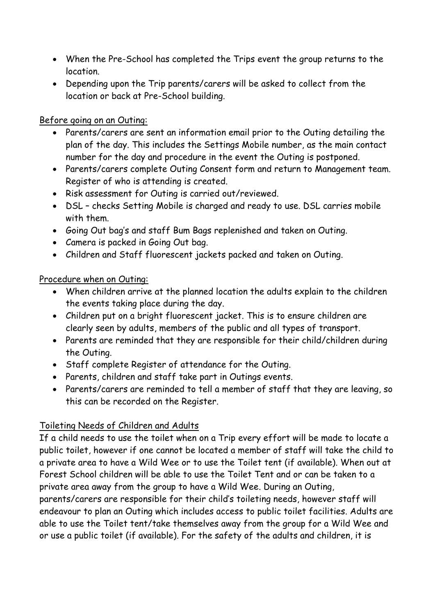- When the Pre-School has completed the Trips event the group returns to the location.
- Depending upon the Trip parents/carers will be asked to collect from the location or back at Pre-School building.

### Before going on an Outing:

- Parents/carers are sent an information email prior to the Outing detailing the plan of the day. This includes the Settings Mobile number, as the main contact number for the day and procedure in the event the Outing is postponed.
- Parents/carers complete Outing Consent form and return to Management team. Register of who is attending is created.
- Risk assessment for Outing is carried out/reviewed.
- DSL checks Setting Mobile is charged and ready to use. DSL carries mobile with them.
- Going Out bag's and staff Bum Bags replenished and taken on Outing.
- Camera is packed in Going Out bag.
- Children and Staff fluorescent jackets packed and taken on Outing.

## Procedure when on Outing:

- When children arrive at the planned location the adults explain to the children the events taking place during the day.
- Children put on a bright fluorescent jacket. This is to ensure children are clearly seen by adults, members of the public and all types of transport.
- Parents are reminded that they are responsible for their child/children during the Outing.
- Staff complete Register of attendance for the Outing.
- Parents, children and staff take part in Outings events.
- Parents/carers are reminded to tell a member of staff that they are leaving, so this can be recorded on the Register.

## Toileting Needs of Children and Adults

If a child needs to use the toilet when on a Trip every effort will be made to locate a public toilet, however if one cannot be located a member of staff will take the child to a private area to have a Wild Wee or to use the Toilet tent (if available). When out at Forest School children will be able to use the Toilet Tent and or can be taken to a private area away from the group to have a Wild Wee. During an Outing,

parents/carers are responsible for their child's toileting needs, however staff will endeavour to plan an Outing which includes access to public toilet facilities. Adults are able to use the Toilet tent/take themselves away from the group for a Wild Wee and or use a public toilet (if available). For the safety of the adults and children, it is